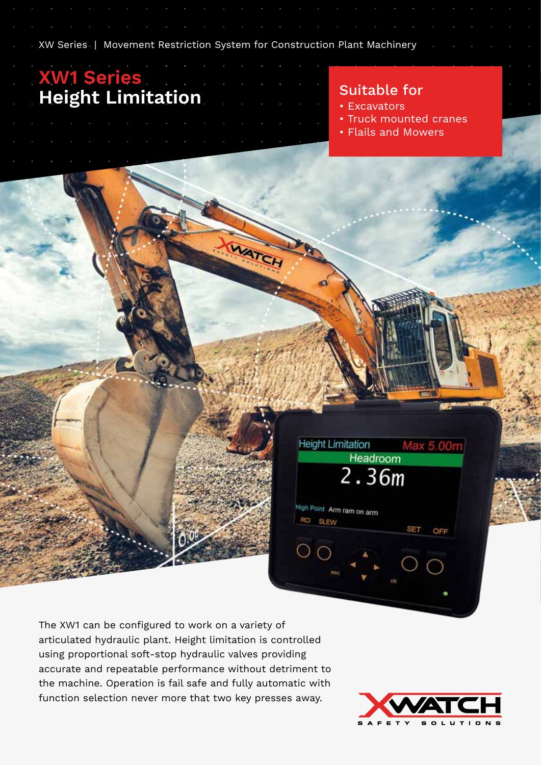XW Series | Movement Restriction System for Construction Plant Machinery

## **XW1 Series Height Limitation** Suitable for

- Excavators
- Truck mounted cranes
- Flails and Mowers

The XW1 can be configured to work on a variety of articulated hydraulic plant. Height limitation is controlled using proportional soft-stop hydraulic valves providing accurate and repeatable performance without detriment to the machine. Operation is fail safe and fully automatic with function selection never more that two key presses away.



Max 5.00m

OFF

**SET** 

**Height Limitation** 

High Point Arm ram on arm

RCI SLEW

Headroom 2.36m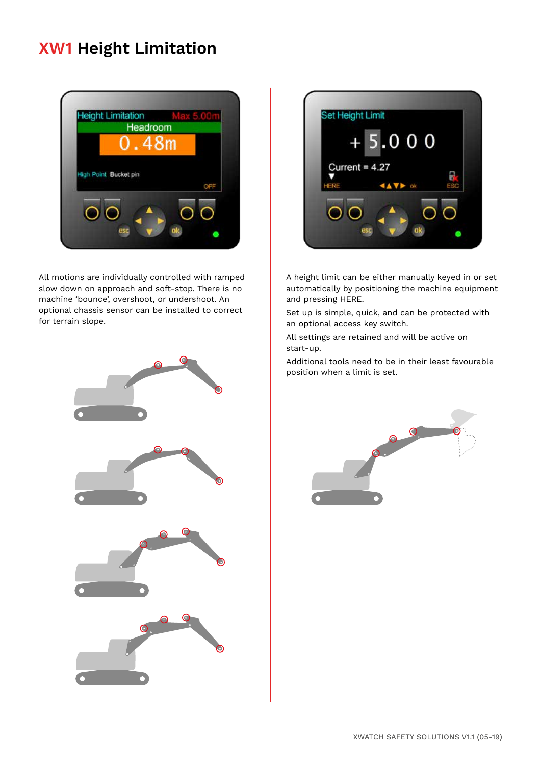# **XW1 Height Limitation**



All motions are individually controlled with ramped slow down on approach and soft-stop. There is no machine 'bounce', overshoot, or undershoot. An optional chassis sensor can be installed to correct for terrain slope.





A height limit can be either manually keyed in or set automatically by positioning the machine equipment and pressing HERE.

Set up is simple, quick, and can be protected with an optional access key switch.

All settings are retained and will be active on start-up.

Additional tools need to be in their least favourable position when a limit is set.

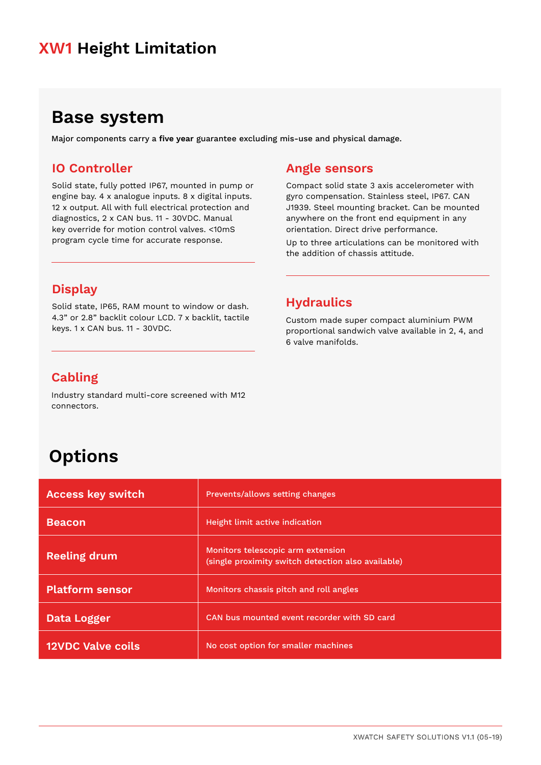## **XW1 Height Limitation**

## **Base system**

Major components carry a **five year** guarantee excluding mis-use and physical damage.

#### **IO Controller**

Solid state, fully potted IP67, mounted in pump or engine bay. 4 x analogue inputs. 8 x digital inputs. 12 x output. All with full electrical protection and diagnostics, 2 x CAN bus. 11 - 30VDC. Manual key override for motion control valves. <10mS program cycle time for accurate response.

### **Display**

Solid state, IP65, RAM mount to window or dash. 4.3" or 2.8" backlit colour LCD. 7 x backlit, tactile keys. 1 x CAN bus. 11 - 30VDC.

#### **Angle sensors**

Compact solid state 3 axis accelerometer with gyro compensation. Stainless steel, IP67. CAN J1939. Steel mounting bracket. Can be mounted anywhere on the front end equipment in any orientation. Direct drive performance.

Up to three articulations can be monitored with the addition of chassis attitude.

#### **Hydraulics**

Custom made super compact aluminium PWM proportional sandwich valve available in 2, 4, and 6 valve manifolds.

#### **Cabling**

Industry standard multi-core screened with M12 connectors.

# **Options**

| <b>Access key switch</b> | Prevents/allows setting changes                                                         |
|--------------------------|-----------------------------------------------------------------------------------------|
| <b>Beacon</b>            | Height limit active indication                                                          |
| <b>Reeling drum</b>      | Monitors telescopic arm extension<br>(single proximity switch detection also available) |
| <b>Platform sensor</b>   | Monitors chassis pitch and roll angles                                                  |
| Data Logger              | CAN bus mounted event recorder with SD card                                             |
| <b>12VDC Valve coils</b> | No cost option for smaller machines                                                     |